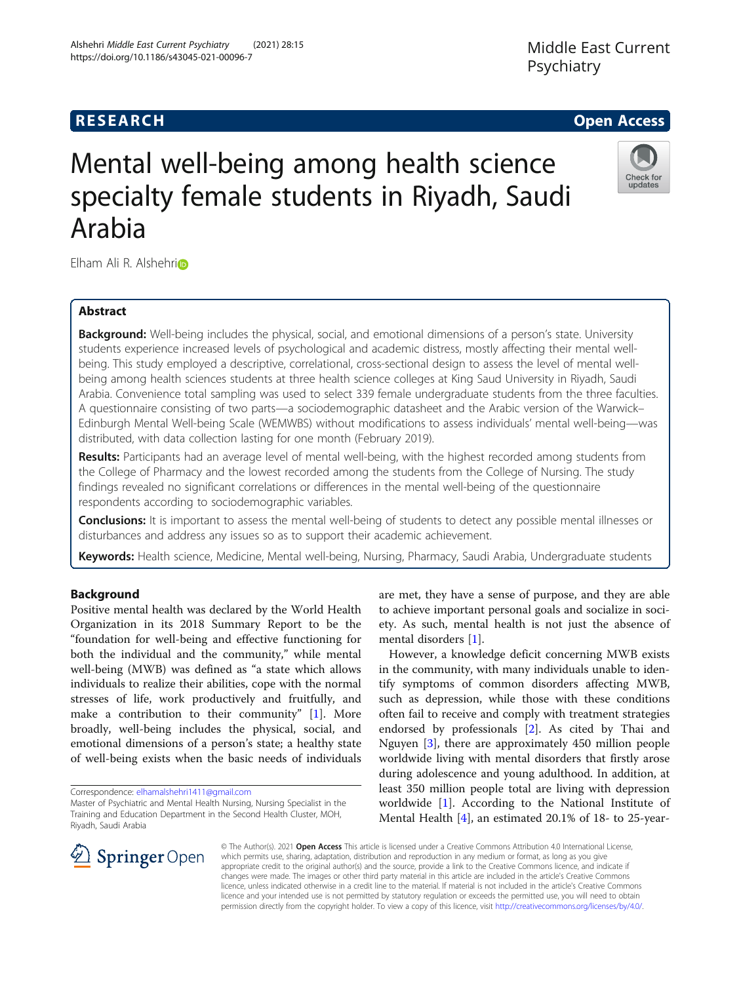# **RESEARCH CHE Open Access**

# Mental well-being among health science specialty female students in Riyadh, Saudi Arabia

Elham Ali R. Alshehrio

# Abstract

Background: Well-being includes the physical, social, and emotional dimensions of a person's state. University students experience increased levels of psychological and academic distress, mostly affecting their mental wellbeing. This study employed a descriptive, correlational, cross-sectional design to assess the level of mental wellbeing among health sciences students at three health science colleges at King Saud University in Riyadh, Saudi Arabia. Convenience total sampling was used to select 339 female undergraduate students from the three faculties. A questionnaire consisting of two parts—a sociodemographic datasheet and the Arabic version of the Warwick– Edinburgh Mental Well-being Scale (WEMWBS) without modifications to assess individuals' mental well-being—was distributed, with data collection lasting for one month (February 2019).

Results: Participants had an average level of mental well-being, with the highest recorded among students from the College of Pharmacy and the lowest recorded among the students from the College of Nursing. The study findings revealed no significant correlations or differences in the mental well-being of the questionnaire respondents according to sociodemographic variables.

Conclusions: It is important to assess the mental well-being of students to detect any possible mental illnesses or disturbances and address any issues so as to support their academic achievement.

Keywords: Health science, Medicine, Mental well-being, Nursing, Pharmacy, Saudi Arabia, Undergraduate students

# Background

Positive mental health was declared by the World Health Organization in its 2018 Summary Report to be the "foundation for well-being and effective functioning for both the individual and the community," while mental well-being (MWB) was defined as "a state which allows individuals to realize their abilities, cope with the normal stresses of life, work productively and fruitfully, and make a contribution to their community" [[1\]](#page-6-0). More broadly, well-being includes the physical, social, and emotional dimensions of a person's state; a healthy state of well-being exists when the basic needs of individuals

Correspondence: [elhamalshehri1411@gmail.com](mailto:elhamalshehri1411@gmail.com)

are met, they have a sense of purpose, and they are able to achieve important personal goals and socialize in society. As such, mental health is not just the absence of mental disorders [\[1](#page-6-0)].

However, a knowledge deficit concerning MWB exists in the community, with many individuals unable to identify symptoms of common disorders affecting MWB, such as depression, while those with these conditions often fail to receive and comply with treatment strategies endorsed by professionals [\[2\]](#page-6-0). As cited by Thai and Nguyen [\[3](#page-6-0)], there are approximately 450 million people worldwide living with mental disorders that firstly arose during adolescence and young adulthood. In addition, at least 350 million people total are living with depression worldwide [[1\]](#page-6-0). According to the National Institute of Mental Health [\[4](#page-6-0)], an estimated 20.1% of 18- to 25-year-

© The Author(s). 2021 Open Access This article is licensed under a Creative Commons Attribution 4.0 International License, which permits use, sharing, adaptation, distribution and reproduction in any medium or format, as long as you give appropriate credit to the original author(s) and the source, provide a link to the Creative Commons licence, and indicate if changes were made. The images or other third party material in this article are included in the article's Creative Commons licence, unless indicated otherwise in a credit line to the material. If material is not included in the article's Creative Commons

licence and your intended use is not permitted by statutory regulation or exceeds the permitted use, you will need to obtain permission directly from the copyright holder. To view a copy of this licence, visit <http://creativecommons.org/licenses/by/4.0/>.







Master of Psychiatric and Mental Health Nursing, Nursing Specialist in the Training and Education Department in the Second Health Cluster, MOH, Riyadh, Saudi Arabia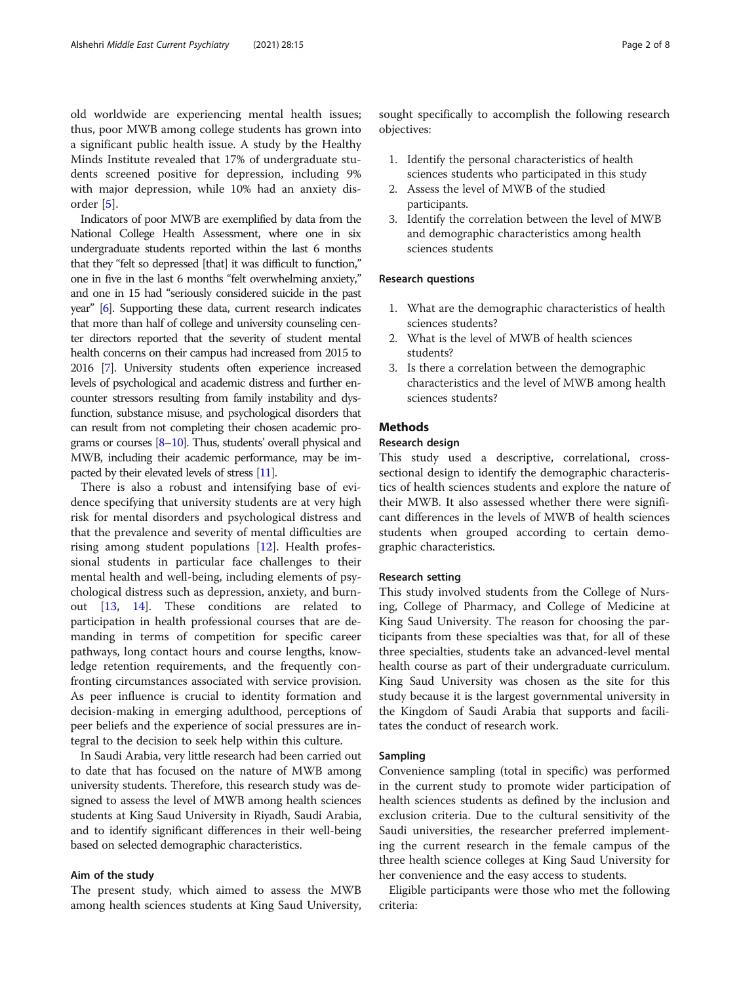old worldwide are experiencing mental health issues; thus, poor MWB among college students has grown into a significant public health issue. A study by the Healthy Minds Institute revealed that 17% of undergraduate students screened positive for depression, including 9% with major depression, while 10% had an anxiety disorder [[5\]](#page-6-0).

Indicators of poor MWB are exemplified by data from the National College Health Assessment, where one in six undergraduate students reported within the last 6 months that they "felt so depressed [that] it was difficult to function," one in five in the last 6 months "felt overwhelming anxiety," and one in 15 had "seriously considered suicide in the past year" [\[6](#page-6-0)]. Supporting these data, current research indicates that more than half of college and university counseling center directors reported that the severity of student mental health concerns on their campus had increased from 2015 to 2016 [\[7\]](#page-6-0). University students often experience increased levels of psychological and academic distress and further encounter stressors resulting from family instability and dysfunction, substance misuse, and psychological disorders that can result from not completing their chosen academic programs or courses [[8](#page-7-0)–[10](#page-7-0)]. Thus, students' overall physical and MWB, including their academic performance, may be impacted by their elevated levels of stress [\[11](#page-7-0)].

There is also a robust and intensifying base of evidence specifying that university students are at very high risk for mental disorders and psychological distress and that the prevalence and severity of mental difficulties are rising among student populations [\[12\]](#page-7-0). Health professional students in particular face challenges to their mental health and well-being, including elements of psychological distress such as depression, anxiety, and burnout [\[13,](#page-7-0) [14](#page-7-0)]. These conditions are related to participation in health professional courses that are demanding in terms of competition for specific career pathways, long contact hours and course lengths, knowledge retention requirements, and the frequently confronting circumstances associated with service provision. As peer influence is crucial to identity formation and decision-making in emerging adulthood, perceptions of peer beliefs and the experience of social pressures are integral to the decision to seek help within this culture.

In Saudi Arabia, very little research had been carried out to date that has focused on the nature of MWB among university students. Therefore, this research study was designed to assess the level of MWB among health sciences students at King Saud University in Riyadh, Saudi Arabia, and to identify significant differences in their well-being based on selected demographic characteristics.

# Aim of the study

The present study, which aimed to assess the MWB among health sciences students at King Saud University, sought specifically to accomplish the following research objectives:

- 1. Identify the personal characteristics of health sciences students who participated in this study
- 2. Assess the level of MWB of the studied participants.
- 3. Identify the correlation between the level of MWB and demographic characteristics among health sciences students

# Research questions

- 1. What are the demographic characteristics of health sciences students?
- 2. What is the level of MWB of health sciences students?
- 3. Is there a correlation between the demographic characteristics and the level of MWB among health sciences students?

# Methods

# Research design

This study used a descriptive, correlational, crosssectional design to identify the demographic characteristics of health sciences students and explore the nature of their MWB. It also assessed whether there were significant differences in the levels of MWB of health sciences students when grouped according to certain demographic characteristics.

## Research setting

This study involved students from the College of Nursing, College of Pharmacy, and College of Medicine at King Saud University. The reason for choosing the participants from these specialties was that, for all of these three specialties, students take an advanced-level mental health course as part of their undergraduate curriculum. King Saud University was chosen as the site for this study because it is the largest governmental university in the Kingdom of Saudi Arabia that supports and facilitates the conduct of research work.

#### Sampling

Convenience sampling (total in specific) was performed in the current study to promote wider participation of health sciences students as defined by the inclusion and exclusion criteria. Due to the cultural sensitivity of the Saudi universities, the researcher preferred implementing the current research in the female campus of the three health science colleges at King Saud University for her convenience and the easy access to students.

Eligible participants were those who met the following criteria: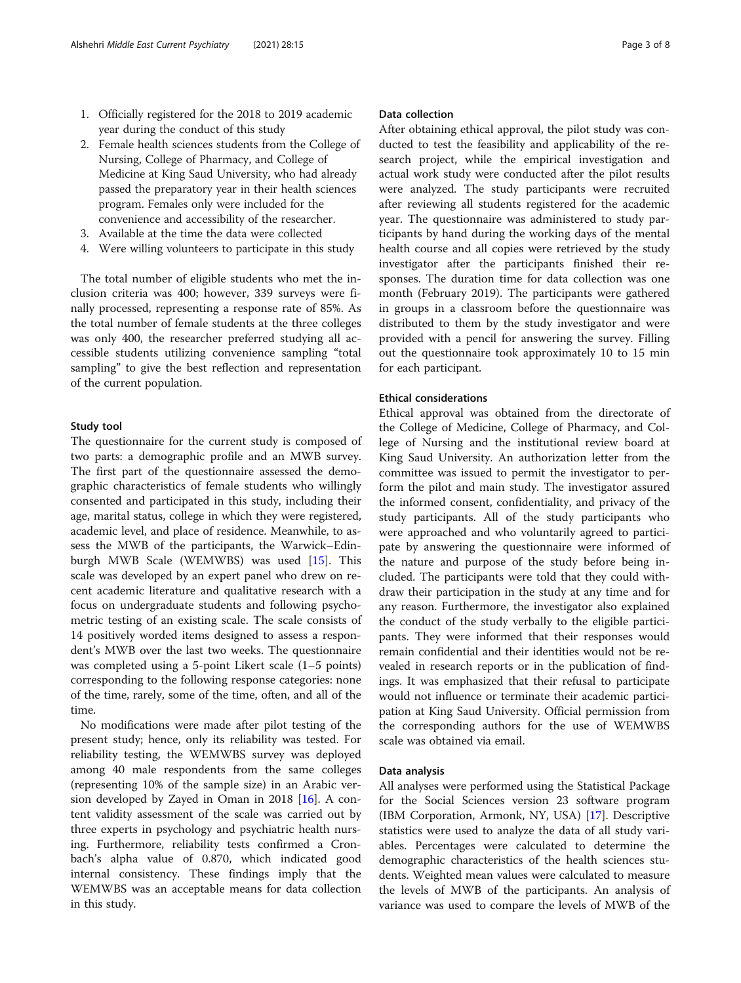- 1. Officially registered for the 2018 to 2019 academic year during the conduct of this study
- 2. Female health sciences students from the College of Nursing, College of Pharmacy, and College of Medicine at King Saud University, who had already passed the preparatory year in their health sciences program. Females only were included for the convenience and accessibility of the researcher.
- 3. Available at the time the data were collected
- 4. Were willing volunteers to participate in this study

The total number of eligible students who met the inclusion criteria was 400; however, 339 surveys were finally processed, representing a response rate of 85%. As the total number of female students at the three colleges was only 400, the researcher preferred studying all accessible students utilizing convenience sampling "total sampling" to give the best reflection and representation of the current population.

# Study tool

The questionnaire for the current study is composed of two parts: a demographic profile and an MWB survey. The first part of the questionnaire assessed the demographic characteristics of female students who willingly consented and participated in this study, including their age, marital status, college in which they were registered, academic level, and place of residence. Meanwhile, to assess the MWB of the participants, the Warwick–Edinburgh MWB Scale (WEMWBS) was used [\[15](#page-7-0)]. This scale was developed by an expert panel who drew on recent academic literature and qualitative research with a focus on undergraduate students and following psychometric testing of an existing scale. The scale consists of 14 positively worded items designed to assess a respondent's MWB over the last two weeks. The questionnaire was completed using a 5-point Likert scale (1–5 points) corresponding to the following response categories: none of the time, rarely, some of the time, often, and all of the time.

No modifications were made after pilot testing of the present study; hence, only its reliability was tested. For reliability testing, the WEMWBS survey was deployed among 40 male respondents from the same colleges (representing 10% of the sample size) in an Arabic version developed by Zayed in Oman in 2018 [[16](#page-7-0)]. A content validity assessment of the scale was carried out by three experts in psychology and psychiatric health nursing. Furthermore, reliability tests confirmed a Cronbach's alpha value of 0.870, which indicated good internal consistency. These findings imply that the WEMWBS was an acceptable means for data collection in this study.

# Data collection

After obtaining ethical approval, the pilot study was conducted to test the feasibility and applicability of the research project, while the empirical investigation and actual work study were conducted after the pilot results were analyzed. The study participants were recruited after reviewing all students registered for the academic year. The questionnaire was administered to study participants by hand during the working days of the mental health course and all copies were retrieved by the study investigator after the participants finished their responses. The duration time for data collection was one month (February 2019). The participants were gathered in groups in a classroom before the questionnaire was distributed to them by the study investigator and were provided with a pencil for answering the survey. Filling out the questionnaire took approximately 10 to 15 min for each participant.

### Ethical considerations

Ethical approval was obtained from the directorate of the College of Medicine, College of Pharmacy, and College of Nursing and the institutional review board at King Saud University. An authorization letter from the committee was issued to permit the investigator to perform the pilot and main study. The investigator assured the informed consent, confidentiality, and privacy of the study participants. All of the study participants who were approached and who voluntarily agreed to participate by answering the questionnaire were informed of the nature and purpose of the study before being included. The participants were told that they could withdraw their participation in the study at any time and for any reason. Furthermore, the investigator also explained the conduct of the study verbally to the eligible participants. They were informed that their responses would remain confidential and their identities would not be revealed in research reports or in the publication of findings. It was emphasized that their refusal to participate would not influence or terminate their academic participation at King Saud University. Official permission from the corresponding authors for the use of WEMWBS scale was obtained via email.

# Data analysis

All analyses were performed using the Statistical Package for the Social Sciences version 23 software program (IBM Corporation, Armonk, NY, USA) [[17\]](#page-7-0). Descriptive statistics were used to analyze the data of all study variables. Percentages were calculated to determine the demographic characteristics of the health sciences students. Weighted mean values were calculated to measure the levels of MWB of the participants. An analysis of variance was used to compare the levels of MWB of the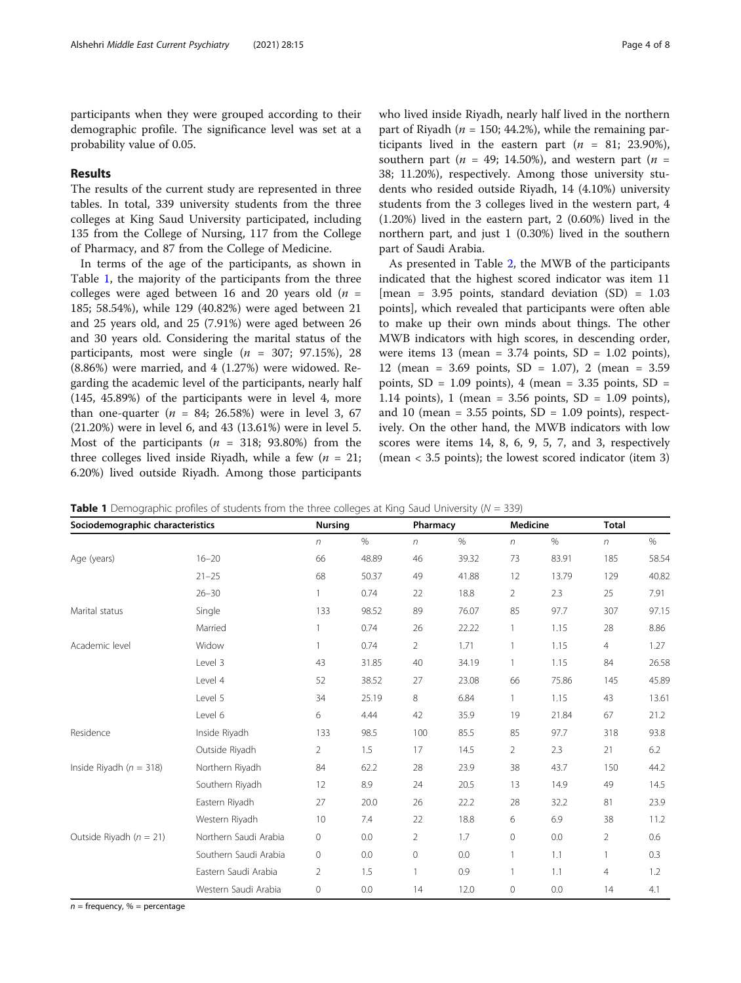participants when they were grouped according to their demographic profile. The significance level was set at a probability value of 0.05.

# Results

The results of the current study are represented in three tables. In total, 339 university students from the three colleges at King Saud University participated, including 135 from the College of Nursing, 117 from the College of Pharmacy, and 87 from the College of Medicine.

In terms of the age of the participants, as shown in Table 1, the majority of the participants from the three colleges were aged between 16 and 20 years old  $(n =$ 185; 58.54%), while 129 (40.82%) were aged between 21 and 25 years old, and 25 (7.91%) were aged between 26 and 30 years old. Considering the marital status of the participants, most were single  $(n = 307, 97.15\%)$ , 28 (8.86%) were married, and 4 (1.27%) were widowed. Regarding the academic level of the participants, nearly half (145, 45.89%) of the participants were in level 4, more than one-quarter ( $n = 84$ ; 26.58%) were in level 3, 67 (21.20%) were in level 6, and 43 (13.61%) were in level 5. Most of the participants ( $n = 318$ ; 93.80%) from the three colleges lived inside Riyadh, while a few  $(n = 21)$ ; 6.20%) lived outside Riyadh. Among those participants who lived inside Riyadh, nearly half lived in the northern part of Riyadh ( $n = 150$ ; 44.2%), while the remaining participants lived in the eastern part  $(n = 81; 23.90\%),$ southern part ( $n = 49$ ; 14.50%), and western part ( $n =$ 38; 11.20%), respectively. Among those university students who resided outside Riyadh, 14 (4.10%) university students from the 3 colleges lived in the western part, 4 (1.20%) lived in the eastern part, 2 (0.60%) lived in the northern part, and just 1 (0.30%) lived in the southern part of Saudi Arabia.

As presented in Table [2,](#page-4-0) the MWB of the participants indicated that the highest scored indicator was item 11  $[mean = 3.95 points, standard deviation (SD) = 1.03$ points], which revealed that participants were often able to make up their own minds about things. The other MWB indicators with high scores, in descending order, were items 13 (mean =  $3.74$  points, SD =  $1.02$  points), 12 (mean = 3.69 points, SD = 1.07), 2 (mean = 3.59 points,  $SD = 1.09$  points), 4 (mean = 3.35 points,  $SD =$ 1.14 points), 1 (mean =  $3.56$  points, SD =  $1.09$  points), and 10 (mean =  $3.55$  points, SD =  $1.09$  points), respectively. On the other hand, the MWB indicators with low scores were items 14, 8, 6, 9, 5, 7, and 3, respectively (mean < 3.5 points); the lowest scored indicator (item 3)

| Sociodemographic characteristics |                       | <b>Nursing</b> |       | Pharmacy       |       | <b>Medicine</b> |       | <b>Total</b>   |       |
|----------------------------------|-----------------------|----------------|-------|----------------|-------|-----------------|-------|----------------|-------|
|                                  |                       | $\sqrt{n}$     | $\%$  | n              | $\%$  | $\sqrt{n}$      | $\%$  | $\sqrt{n}$     | $\%$  |
| Age (years)                      | $16 - 20$             | 66             | 48.89 | 46             | 39.32 | 73              | 83.91 | 185            | 58.54 |
|                                  | $21 - 25$             | 68             | 50.37 | 49             | 41.88 | 12              | 13.79 | 129            | 40.82 |
|                                  | $26 - 30$             |                | 0.74  | 22             | 18.8  | 2               | 2.3   | 25             | 7.91  |
| Marital status                   | Single                | 133            | 98.52 | 89             | 76.07 | 85              | 97.7  | 307            | 97.15 |
|                                  | Married               |                | 0.74  | 26             | 22.22 | 1               | 1.15  | 28             | 8.86  |
| Academic level                   | Widow                 | $\mathbf{1}$   | 0.74  | 2              | 1.71  | $\mathbf{1}$    | 1.15  | $\overline{4}$ | 1.27  |
|                                  | Level 3               | 43             | 31.85 | 40             | 34.19 | 1               | 1.15  | 84             | 26.58 |
|                                  | Level 4               | 52             | 38.52 | 27             | 23.08 | 66              | 75.86 | 145            | 45.89 |
|                                  | Level 5               | 34             | 25.19 | 8              | 6.84  | $\mathbf{1}$    | 1.15  | 43             | 13.61 |
|                                  | Level 6               | 6              | 4.44  | 42             | 35.9  | 19              | 21.84 | 67             | 21.2  |
| Residence                        | Inside Riyadh         | 133            | 98.5  | 100            | 85.5  | 85              | 97.7  | 318            | 93.8  |
|                                  | Outside Riyadh        | 2              | 1.5   | 17             | 14.5  | $\overline{2}$  | 2.3   | 21             | 6.2   |
| Inside Riyadh ( $n = 318$ )      | Northern Riyadh       | 84             | 62.2  | 28             | 23.9  | 38              | 43.7  | 150            | 44.2  |
|                                  | Southern Riyadh       | 12             | 8.9   | 24             | 20.5  | 13              | 14.9  | 49             | 14.5  |
|                                  | Eastern Riyadh        | 27             | 20.0  | 26             | 22.2  | 28              | 32.2  | 81             | 23.9  |
|                                  | Western Riyadh        | 10             | 7.4   | 22             | 18.8  | 6               | 6.9   | 38             | 11.2  |
| Outside Riyadh ( $n = 21$ )      | Northern Saudi Arabia | 0              | 0.0   | $\overline{2}$ | 1.7   | 0               | 0.0   | 2              | 0.6   |
|                                  | Southern Saudi Arabia | 0              | 0.0   | 0              | 0.0   | 1               | 1.1   |                | 0.3   |
|                                  | Eastern Saudi Arabia  | $\overline{2}$ | 1.5   | 1              | 0.9   | 1               | 1.1   | 4              | 1.2   |
|                                  | Western Saudi Arabia  | 0              | 0.0   | 14             | 12.0  | 0               | 0.0   | 14             | 4.1   |

**Table 1** Demographic profiles of students from the three colleges at King Saud University ( $N = 339$ )

 $n =$  frequency,  $% =$  percentage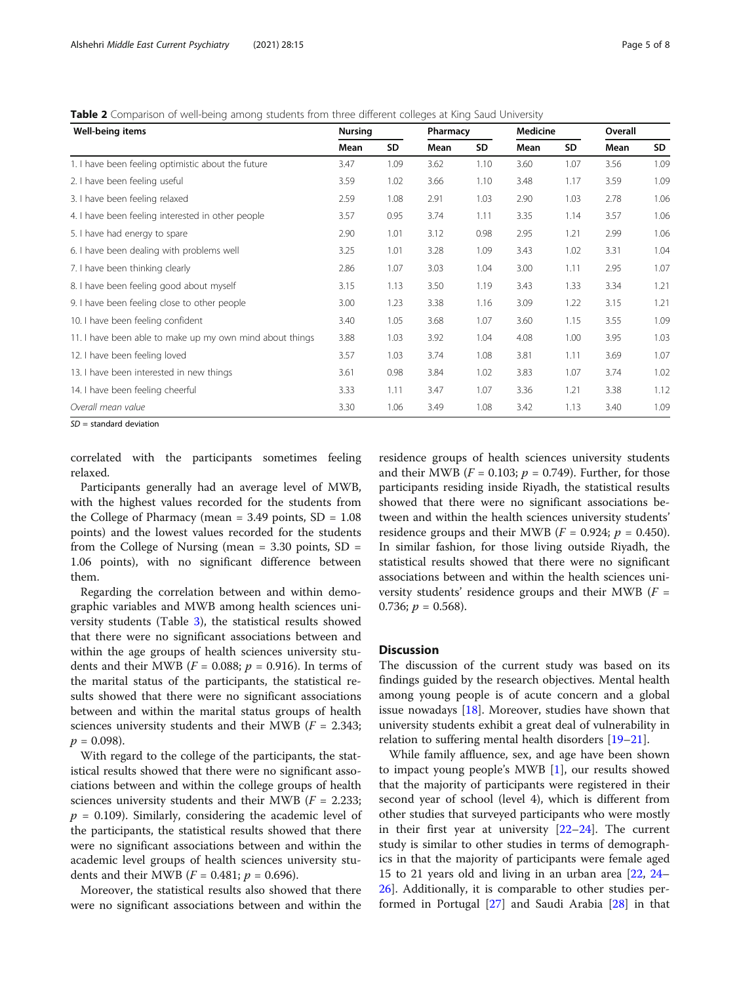<span id="page-4-0"></span>Table 2 Comparison of well-being among students from three different colleges at King Saud University

| Well-being items                                         | <b>Nursing</b> |      | Pharmacy |      | <b>Medicine</b> |      | Overall |      |
|----------------------------------------------------------|----------------|------|----------|------|-----------------|------|---------|------|
|                                                          | Mean           | SD   | Mean     | SD   | Mean            | SD   | Mean    | SD   |
| 1. I have been feeling optimistic about the future       | 3.47           | 1.09 | 3.62     | 1.10 | 3.60            | 1.07 | 3.56    | 1.09 |
| 2. I have been feeling useful                            | 3.59           | 1.02 | 3.66     | 1.10 | 3.48            | 1.17 | 3.59    | 1.09 |
| 3. I have been feeling relaxed                           | 2.59           | 1.08 | 2.91     | 1.03 | 2.90            | 1.03 | 2.78    | 1.06 |
| 4. I have been feeling interested in other people        | 3.57           | 0.95 | 3.74     | 1.11 | 3.35            | 1.14 | 3.57    | 1.06 |
| 5. I have had energy to spare                            | 2.90           | 1.01 | 3.12     | 0.98 | 2.95            | 1.21 | 2.99    | 1.06 |
| 6. I have been dealing with problems well                | 3.25           | 1.01 | 3.28     | 1.09 | 3.43            | 1.02 | 3.31    | 1.04 |
| 7. I have been thinking clearly                          | 2.86           | 1.07 | 3.03     | 1.04 | 3.00            | 1.11 | 2.95    | 1.07 |
| 8. I have been feeling good about myself                 | 3.15           | 1.13 | 3.50     | 1.19 | 3.43            | 1.33 | 3.34    | 1.21 |
| 9. I have been feeling close to other people             | 3.00           | 1.23 | 3.38     | 1.16 | 3.09            | 1.22 | 3.15    | 1.21 |
| 10. I have been feeling confident                        | 3.40           | 1.05 | 3.68     | 1.07 | 3.60            | 1.15 | 3.55    | 1.09 |
| 11. I have been able to make up my own mind about things | 3.88           | 1.03 | 3.92     | 1.04 | 4.08            | 1.00 | 3.95    | 1.03 |
| 12. I have been feeling loved                            | 3.57           | 1.03 | 3.74     | 1.08 | 3.81            | 1.11 | 3.69    | 1.07 |
| 13. I have been interested in new things                 | 3.61           | 0.98 | 3.84     | 1.02 | 3.83            | 1.07 | 3.74    | 1.02 |
| 14. I have been feeling cheerful                         | 3.33           | 1.11 | 3.47     | 1.07 | 3.36            | 1.21 | 3.38    | 1.12 |
| Overall mean value                                       | 3.30           | 1.06 | 3.49     | 1.08 | 3.42            | 1.13 | 3.40    | 1.09 |

 $SD =$  standard deviation

correlated with the participants sometimes feeling relaxed.

Participants generally had an average level of MWB, with the highest values recorded for the students from the College of Pharmacy (mean =  $3.49$  points,  $SD = 1.08$ ) points) and the lowest values recorded for the students from the College of Nursing (mean  $= 3.30$  points, SD  $=$ 1.06 points), with no significant difference between them.

Regarding the correlation between and within demographic variables and MWB among health sciences university students (Table [3\)](#page-5-0), the statistical results showed that there were no significant associations between and within the age groups of health sciences university students and their MWB ( $F = 0.088$ ;  $p = 0.916$ ). In terms of the marital status of the participants, the statistical results showed that there were no significant associations between and within the marital status groups of health sciences university students and their MWB ( $F = 2.343$ ;  $p = 0.098$ ).

With regard to the college of the participants, the statistical results showed that there were no significant associations between and within the college groups of health sciences university students and their MWB ( $F = 2.233$ ;  $p = 0.109$ ). Similarly, considering the academic level of the participants, the statistical results showed that there were no significant associations between and within the academic level groups of health sciences university students and their MWB ( $F = 0.481$ ;  $p = 0.696$ ).

Moreover, the statistical results also showed that there were no significant associations between and within the

residence groups of health sciences university students and their MWB ( $F = 0.103$ ;  $p = 0.749$ ). Further, for those participants residing inside Riyadh, the statistical results showed that there were no significant associations between and within the health sciences university students' residence groups and their MWB ( $F = 0.924$ ;  $p = 0.450$ ). In similar fashion, for those living outside Riyadh, the statistical results showed that there were no significant associations between and within the health sciences university students' residence groups and their MWB  $(F =$ 0.736;  $p = 0.568$ ).

# **Discussion**

The discussion of the current study was based on its findings guided by the research objectives. Mental health among young people is of acute concern and a global issue nowadays  $[18]$  $[18]$ . Moreover, studies have shown that university students exhibit a great deal of vulnerability in relation to suffering mental health disorders [\[19](#page-7-0)–[21\]](#page-7-0).

While family affluence, sex, and age have been shown to impact young people's MWB [\[1](#page-6-0)], our results showed that the majority of participants were registered in their second year of school (level 4), which is different from other studies that surveyed participants who were mostly in their first year at university  $[22-24]$  $[22-24]$  $[22-24]$  $[22-24]$  $[22-24]$ . The current study is similar to other studies in terms of demographics in that the majority of participants were female aged 15 to 21 years old and living in an urban area [\[22,](#page-7-0) [24](#page-7-0)– [26\]](#page-7-0). Additionally, it is comparable to other studies performed in Portugal [\[27](#page-7-0)] and Saudi Arabia [\[28](#page-7-0)] in that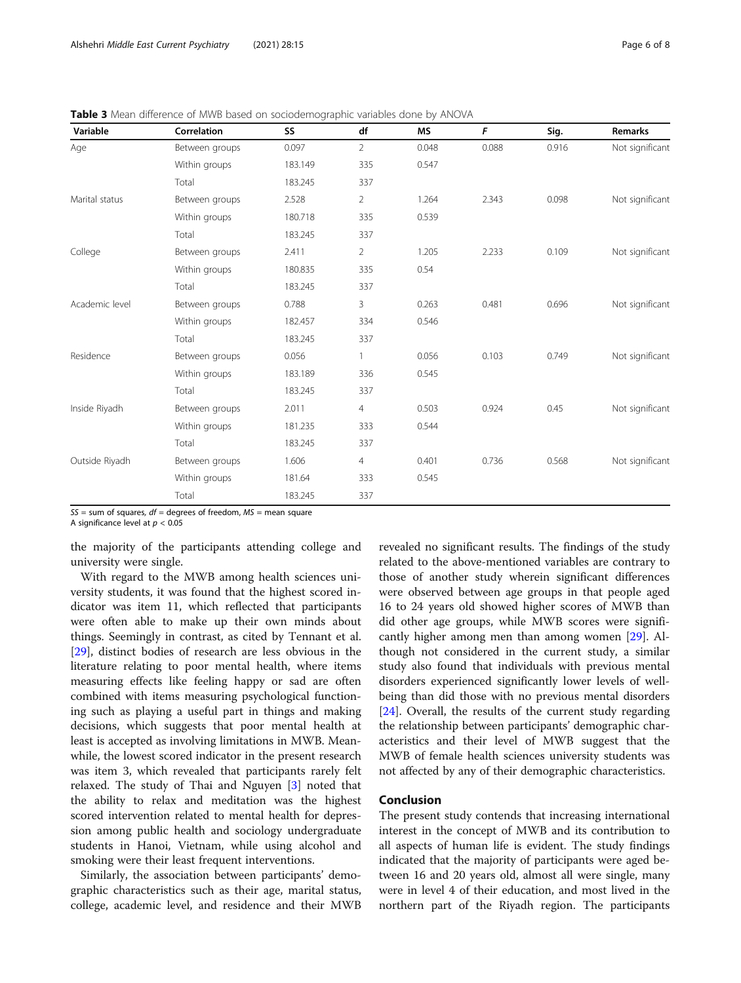| Variable       | Correlation    | SS      | df             | <b>MS</b> | F     | Sig.  | Remarks         |
|----------------|----------------|---------|----------------|-----------|-------|-------|-----------------|
| Age            | Between groups | 0.097   | $\overline{2}$ | 0.048     | 0.088 | 0.916 | Not significant |
|                | Within groups  | 183.149 | 335            | 0.547     |       |       |                 |
|                | Total          | 183.245 | 337            |           |       |       |                 |
| Marital status | Between groups | 2.528   | $\overline{2}$ | 1.264     | 2.343 | 0.098 | Not significant |
|                | Within groups  | 180.718 | 335            | 0.539     |       |       |                 |
|                | Total          | 183.245 | 337            |           |       |       |                 |
| College        | Between groups | 2.411   | $\overline{2}$ | 1.205     | 2.233 | 0.109 | Not significant |
|                | Within groups  | 180.835 | 335            | 0.54      |       |       |                 |
|                | Total          | 183.245 | 337            |           |       |       |                 |
| Academic level | Between groups | 0.788   | 3              | 0.263     | 0.481 | 0.696 | Not significant |
|                | Within groups  | 182.457 | 334            | 0.546     |       |       |                 |
|                | Total          | 183.245 | 337            |           |       |       |                 |
| Residence      | Between groups | 0.056   | $\mathbf{1}$   | 0.056     | 0.103 | 0.749 | Not significant |
|                | Within groups  | 183.189 | 336            | 0.545     |       |       |                 |
|                | Total          | 183.245 | 337            |           |       |       |                 |
| Inside Riyadh  | Between groups | 2.011   | $\overline{4}$ | 0.503     | 0.924 | 0.45  | Not significant |
|                | Within groups  | 181.235 | 333            | 0.544     |       |       |                 |
|                | Total          | 183.245 | 337            |           |       |       |                 |
| Outside Riyadh | Between groups | 1.606   | $\overline{4}$ | 0.401     | 0.736 | 0.568 | Not significant |
|                | Within groups  | 181.64  | 333            | 0.545     |       |       |                 |
|                | Total          | 183.245 | 337            |           |       |       |                 |

<span id="page-5-0"></span>Table 3 Mean difference of MWB based on sociodemographic variables done by ANOVA

 $SS =$  sum of squares,  $df =$  degrees of freedom,  $MS =$  mean square

A significance level at  $p < 0.05$ 

the majority of the participants attending college and university were single.

With regard to the MWB among health sciences university students, it was found that the highest scored indicator was item 11, which reflected that participants were often able to make up their own minds about things. Seemingly in contrast, as cited by Tennant et al. [[29\]](#page-7-0), distinct bodies of research are less obvious in the literature relating to poor mental health, where items measuring effects like feeling happy or sad are often combined with items measuring psychological functioning such as playing a useful part in things and making decisions, which suggests that poor mental health at least is accepted as involving limitations in MWB. Meanwhile, the lowest scored indicator in the present research was item 3, which revealed that participants rarely felt relaxed. The study of Thai and Nguyen [\[3](#page-6-0)] noted that the ability to relax and meditation was the highest scored intervention related to mental health for depression among public health and sociology undergraduate students in Hanoi, Vietnam, while using alcohol and smoking were their least frequent interventions.

Similarly, the association between participants' demographic characteristics such as their age, marital status, college, academic level, and residence and their MWB revealed no significant results. The findings of the study related to the above-mentioned variables are contrary to those of another study wherein significant differences were observed between age groups in that people aged 16 to 24 years old showed higher scores of MWB than did other age groups, while MWB scores were significantly higher among men than among women [[29](#page-7-0)]. Although not considered in the current study, a similar study also found that individuals with previous mental disorders experienced significantly lower levels of wellbeing than did those with no previous mental disorders [[24\]](#page-7-0). Overall, the results of the current study regarding the relationship between participants' demographic characteristics and their level of MWB suggest that the MWB of female health sciences university students was not affected by any of their demographic characteristics.

# Conclusion

The present study contends that increasing international interest in the concept of MWB and its contribution to all aspects of human life is evident. The study findings indicated that the majority of participants were aged between 16 and 20 years old, almost all were single, many were in level 4 of their education, and most lived in the northern part of the Riyadh region. The participants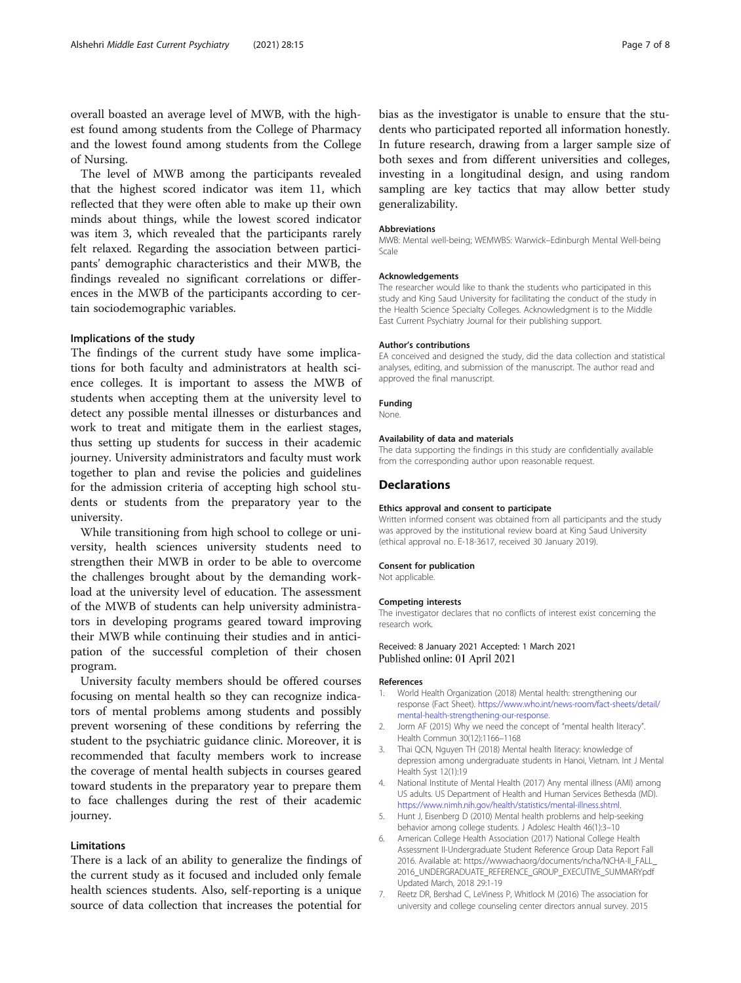<span id="page-6-0"></span>overall boasted an average level of MWB, with the highest found among students from the College of Pharmacy and the lowest found among students from the College of Nursing.

The level of MWB among the participants revealed that the highest scored indicator was item 11, which reflected that they were often able to make up their own minds about things, while the lowest scored indicator was item 3, which revealed that the participants rarely felt relaxed. Regarding the association between participants' demographic characteristics and their MWB, the findings revealed no significant correlations or differences in the MWB of the participants according to certain sociodemographic variables.

# Implications of the study

The findings of the current study have some implications for both faculty and administrators at health science colleges. It is important to assess the MWB of students when accepting them at the university level to detect any possible mental illnesses or disturbances and work to treat and mitigate them in the earliest stages, thus setting up students for success in their academic journey. University administrators and faculty must work together to plan and revise the policies and guidelines for the admission criteria of accepting high school students or students from the preparatory year to the university.

While transitioning from high school to college or university, health sciences university students need to strengthen their MWB in order to be able to overcome the challenges brought about by the demanding workload at the university level of education. The assessment of the MWB of students can help university administrators in developing programs geared toward improving their MWB while continuing their studies and in anticipation of the successful completion of their chosen program.

University faculty members should be offered courses focusing on mental health so they can recognize indicators of mental problems among students and possibly prevent worsening of these conditions by referring the student to the psychiatric guidance clinic. Moreover, it is recommended that faculty members work to increase the coverage of mental health subjects in courses geared toward students in the preparatory year to prepare them to face challenges during the rest of their academic journey.

# Limitations

There is a lack of an ability to generalize the findings of the current study as it focused and included only female health sciences students. Also, self-reporting is a unique source of data collection that increases the potential for bias as the investigator is unable to ensure that the students who participated reported all information honestly. In future research, drawing from a larger sample size of both sexes and from different universities and colleges, investing in a longitudinal design, and using random sampling are key tactics that may allow better study generalizability.

#### Abbreviations

MWB: Mental well-being; WEMWBS: Warwick–Edinburgh Mental Well-being Scale

#### Acknowledgements

The researcher would like to thank the students who participated in this study and King Saud University for facilitating the conduct of the study in the Health Science Specialty Colleges. Acknowledgment is to the Middle East Current Psychiatry Journal for their publishing support.

#### Author's contributions

EA conceived and designed the study, did the data collection and statistical analyses, editing, and submission of the manuscript. The author read and approved the final manuscript.

#### Funding

None.

#### Availability of data and materials

The data supporting the findings in this study are confidentially available from the corresponding author upon reasonable request.

#### Declarations

#### Ethics approval and consent to participate

Written informed consent was obtained from all participants and the study was approved by the institutional review board at King Saud University (ethical approval no. E-18-3617, received 30 January 2019).

#### Consent for publication

Not applicable.

#### Competing interests

The investigator declares that no conflicts of interest exist concerning the research work.

Received: 8 January 2021 Accepted: 1 March 2021 Published online: 01 April 2021

# References

- 1. World Health Organization (2018) Mental health: strengthening our response (Fact Sheet). [https://www.who.int/news-room/fact-sheets/detail/](https://www.who.int/news-room/fact-sheets/detail/mental-health-strengthening-our-response) [mental-health-strengthening-our-response.](https://www.who.int/news-room/fact-sheets/detail/mental-health-strengthening-our-response)
- 2. Jorm AF (2015) Why we need the concept of "mental health literacy". Health Commun 30(12):1166–1168
- 3. Thai QCN, Nguyen TH (2018) Mental health literacy: knowledge of depression among undergraduate students in Hanoi, Vietnam. Int J Mental Health Syst 12(1):19
- 4. National Institute of Mental Health (2017) Any mental illness (AMI) among US adults. US Department of Health and Human Services Bethesda (MD). <https://www.nimh.nih.gov/health/statistics/mental-illness.shtml>.
- 5. Hunt J, Eisenberg D (2010) Mental health problems and help-seeking behavior among college students. J Adolesc Health 46(1):3–10
- 6. American College Health Association (2017) National College Health Assessment II-Undergraduate Student Reference Group Data Report Fall 2016. Available at: https://wwwachaorg/documents/ncha/NCHA-II\_FALL\_ 2016\_UNDERGRADUATE\_REFERENCE\_GROUP\_EXECUTIVE\_SUMMARYpdf Updated March, 2018 29:1-19
- 7. Reetz DR, Bershad C, LeViness P, Whitlock M (2016) The association for university and college counseling center directors annual survey. 2015